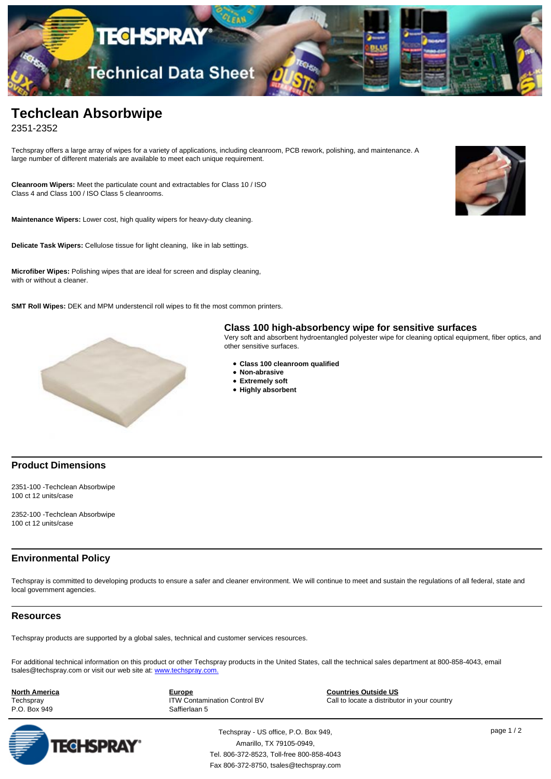

# **Techclean Absorbwipe**

2351-2352

Techspray offers a large array of wipes for a variety of applications, including cleanroom, PCB rework, polishing, and maintenance. A large number of different materials are available to meet each unique requirement.

**Cleanroom Wipers:** Meet the particulate count and extractables for Class 10 / ISO Class 4 and Class 100 / ISO Class 5 cleanrooms.

**Maintenance Wipers:** Lower cost, high quality wipers for heavy-duty cleaning.

**Delicate Task Wipers:** Cellulose tissue for light cleaning, like in lab settings.

**Microfiber Wipes:** Polishing wipes that are ideal for screen and display cleaning, with or without a cleaner.

**SMT Roll Wipes:** DEK and MPM understencil roll wipes to fit the most common printers.



## **Class 100 high-absorbency wipe for sensitive surfaces**

Very soft and absorbent hydroentangled polyester wipe for cleaning optical equipment, fiber optics, and other sensitive surfaces.

- **Class 100 cleanroom qualified**
- **Non-abrasive**
- **Extremely soft**
- **Highly absorbent**

### **Product Dimensions**

2351-100 -Techclean Absorbwipe 100 ct 12 units/case

2352-100 -Techclean Absorbwipe 100 ct 12 units/case

### **Environmental Policy**

Techspray is committed to developing products to ensure a safer and cleaner environment. We will continue to meet and sustain the regulations of all federal, state and local government agencies.

#### **Resources**

Techspray products are supported by a global sales, technical and customer services resources.

For additional technical information on this product or other Techspray products in the United States, call the technical sales department at 800-858-4043, email tsales@techspray.com or visit our web site at: [www.techspray.com.](http://www.techspray.com)

**North America**

**Techspray** P.O. Box 949 **Europe** ITW Contamination Control BV Saffierlaan 5

**Countries Outside US** Call to locate a distributor in your country



Techspray - US office, P.O. Box 949, page 1 / 2 Amarillo, TX 79105-0949, Tel. 806-372-8523, Toll-free 800-858-4043 Fax 806-372-8750, tsales@techspray.com